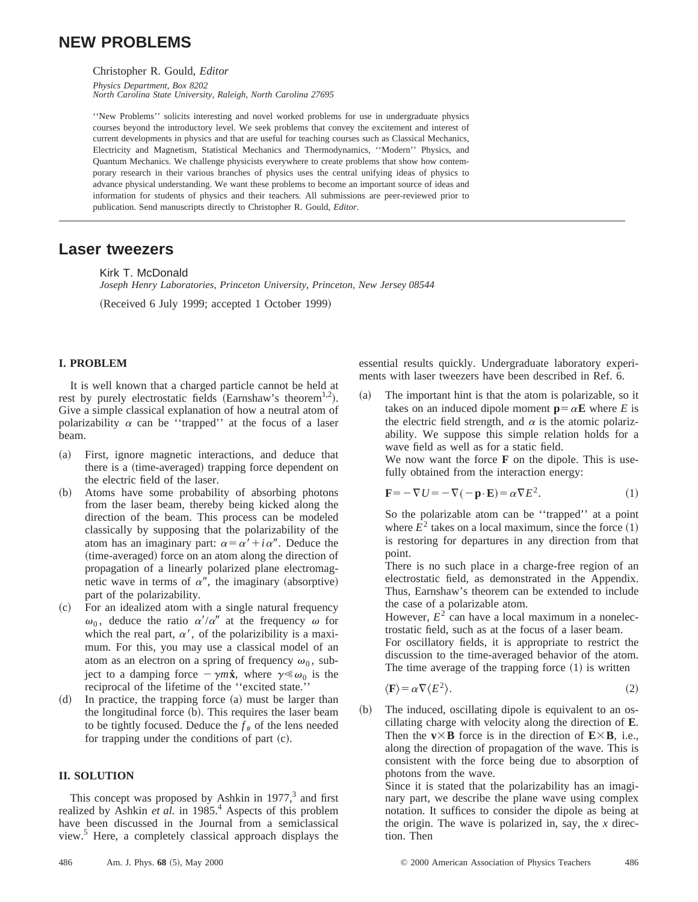# **NEW PROBLEMS**

Christopher R. Gould, *Editor*

*Physics Department, Box 8202 North Carolina State University, Raleigh, North Carolina 27695*

''New Problems'' solicits interesting and novel worked problems for use in undergraduate physics courses beyond the introductory level. We seek problems that convey the excitement and interest of current developments in physics and that are useful for teaching courses such as Classical Mechanics, Electricity and Magnetism, Statistical Mechanics and Thermodynamics, ''Modern'' Physics, and Quantum Mechanics. We challenge physicists everywhere to create problems that show how contemporary research in their various branches of physics uses the central unifying ideas of physics to advance physical understanding. We want these problems to become an important source of ideas and information for students of physics and their teachers. All submissions are peer-reviewed prior to publication. Send manuscripts directly to Christopher R. Gould, *Editor*.

## **Laser tweezers**

Kirk T. McDonald

*Joseph Henry Laboratories, Princeton University, Princeton, New Jersey 08544* (Received 6 July 1999; accepted 1 October 1999)

### **I. PROBLEM**

It is well known that a charged particle cannot be held at rest by purely electrostatic fields (Earnshaw's theorem<sup>1,2</sup>). Give a simple classical explanation of how a neutral atom of polarizability  $\alpha$  can be "trapped" at the focus of a laser beam.

- (a) First, ignore magnetic interactions, and deduce that there is a (time-averaged) trapping force dependent on the electric field of the laser.
- ~b! Atoms have some probability of absorbing photons from the laser beam, thereby being kicked along the direction of the beam. This process can be modeled classically by supposing that the polarizability of the atom has an imaginary part:  $\alpha = \alpha' + i \alpha''$ . Deduce the (time-averaged) force on an atom along the direction of propagation of a linearly polarized plane electromagnetic wave in terms of  $\alpha''$ , the imaginary (absorptive) part of the polarizability.
- (c) For an idealized atom with a single natural frequency  $\omega_0$ , deduce the ratio  $\alpha'/\alpha''$  at the frequency  $\omega$  for which the real part,  $\alpha'$ , of the polarizibility is a maximum. For this, you may use a classical model of an atom as an electron on a spring of frequency  $\omega_0$ , subject to a damping force  $-\gamma m\dot{x}$ , where  $\gamma \ll \omega_0$  is the reciprocal of the lifetime of the ''excited state.''
- $(d)$  In practice, the trapping force  $(a)$  must be larger than the longitudinal force  $(b)$ . This requires the laser beam to be tightly focused. Deduce the  $f_{\#}$  of the lens needed for trapping under the conditions of part  $(c)$ .

#### **II. SOLUTION**

This concept was proposed by Ashkin in  $1977<sup>3</sup>$  and first realized by Ashkin *et al.* in 1985.<sup>4</sup> Aspects of this problem have been discussed in the Journal from a semiclassical view.<sup>5</sup> Here, a completely classical approach displays the essential results quickly. Undergraduate laboratory experiments with laser tweezers have been described in Ref. 6.

 $(a)$  The important hint is that the atom is polarizable, so it takes on an induced dipole moment  $\mathbf{p} = \alpha \mathbf{E}$  where *E* is the electric field strength, and  $\alpha$  is the atomic polarizability. We suppose this simple relation holds for a wave field as well as for a static field. We now want the force **F** on the dipole. This is use-

fully obtained from the interaction energy:

$$
\mathbf{F} = -\nabla U = -\nabla(-\mathbf{p} \cdot \mathbf{E}) = \alpha \nabla E^2.
$$
 (1)

So the polarizable atom can be ''trapped'' at a point where  $E^2$  takes on a local maximum, since the force  $(1)$ is restoring for departures in any direction from that point.

There is no such place in a charge-free region of an electrostatic field, as demonstrated in the Appendix. Thus, Earnshaw's theorem can be extended to include the case of a polarizable atom.

However,  $E^2$  can have a local maximum in a nonelectrostatic field, such as at the focus of a laser beam. For oscillatory fields, it is appropriate to restrict the discussion to the time-averaged behavior of the atom. The time average of the trapping force  $(1)$  is written

$$
\langle \mathbf{F} \rangle = \alpha \nabla \langle E^2 \rangle. \tag{2}
$$

 $(b)$  The induced, oscillating dipole is equivalent to an oscillating charge with velocity along the direction of **E**. Then the  $v \times B$  force is in the direction of  $E \times B$ , i.e., along the direction of propagation of the wave. This is consistent with the force being due to absorption of photons from the wave.

Since it is stated that the polarizability has an imaginary part, we describe the plane wave using complex notation. It suffices to consider the dipole as being at the origin. The wave is polarized in, say, the *x* direction. Then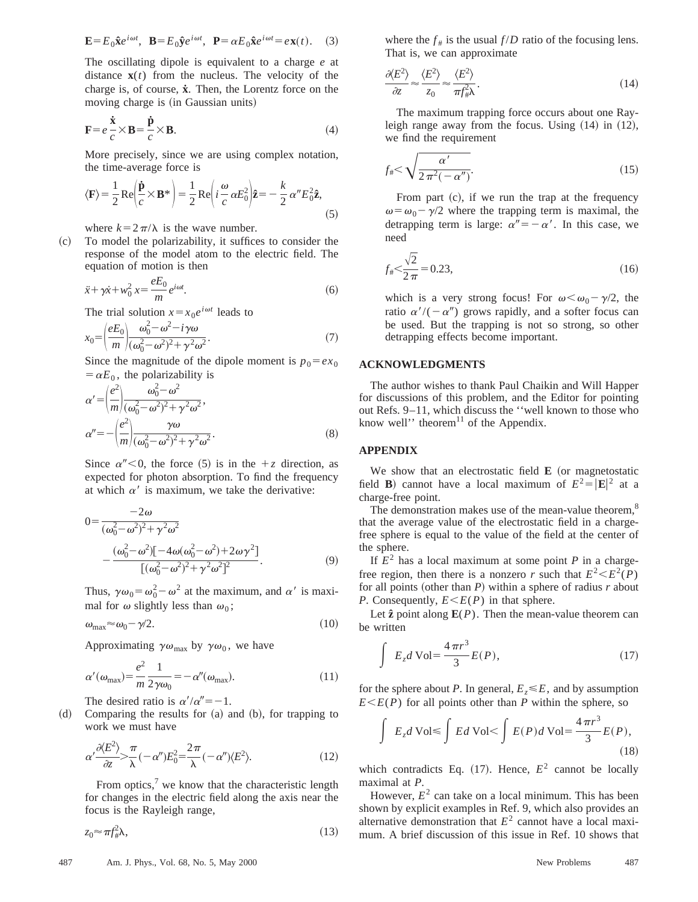$$
\mathbf{E} = E_0 \hat{\mathbf{x}} e^{i\omega t}, \quad \mathbf{B} = E_0 \hat{\mathbf{y}} e^{i\omega t}, \quad \mathbf{P} = \alpha E_0 \hat{\mathbf{x}} e^{i\omega t} = e \mathbf{x}(t). \tag{3}
$$

The oscillating dipole is equivalent to a charge *e* at distance  $\mathbf{x}(t)$  from the nucleus. The velocity of the charge is, of course, **x˙**. Then, the Lorentz force on the moving charge is (in Gaussian units)

$$
\mathbf{F} = e \frac{\dot{\mathbf{x}}}{c} \times \mathbf{B} = \frac{\dot{\mathbf{p}}}{c} \times \mathbf{B}.
$$
 (4)

More precisely, since we are using complex notation, the time-average force is

$$
\langle \mathbf{F} \rangle = \frac{1}{2} \operatorname{Re} \left( \frac{\dot{\mathbf{p}}}{c} \times \mathbf{B}^* \right) = \frac{1}{2} \operatorname{Re} \left( i \frac{\omega}{c} \alpha E_0^2 \right) \hat{\mathbf{z}} = -\frac{k}{2} \alpha'' E_0^2 \hat{\mathbf{z}}, \tag{5}
$$

where  $k=2\pi/\lambda$  is the wave number.

~c! To model the polarizability, it suffices to consider the response of the model atom to the electric field. The equation of motion is then

$$
\ddot{x} + \gamma \dot{x} + w_0^2 x = \frac{eE_0}{m} e^{i\omega t}.
$$
 (6)

The trial solution  $x = x_0 e^{i\omega t}$  leads to

$$
x_0 = \left(\frac{eE_0}{m}\right) \frac{\omega_0^2 - \omega^2 - i\gamma\omega}{(\omega_0^2 - \omega^2)^2 + \gamma^2\omega^2}.
$$
\n(7)

Since the magnitude of the dipole moment is  $p_0 = e x_0$  $=\alpha E_0$ , the polarizability is

$$
\alpha' = \left(\frac{e^2}{m}\right) \frac{\omega_0^2 - \omega^2}{(\omega_0^2 - \omega^2)^2 + \gamma^2 \omega^2},
$$
  
\n
$$
\alpha'' = -\left(\frac{e^2}{m}\right) \frac{\gamma \omega}{(\omega_0^2 - \omega^2)^2 + \gamma^2 \omega^2}.
$$
\n(8)

Since  $\alpha'' < 0$ , the force (5) is in the  $+z$  direction, as expected for photon absorption. To find the frequency at which  $\alpha'$  is maximum, we take the derivative:

$$
0 = \frac{-2\omega}{(\omega_0^2 - \omega^2)^2 + \gamma^2 \omega^2}
$$
  
 
$$
-\frac{(\omega_0^2 - \omega^2)[-4\omega(\omega_0^2 - \omega^2) + 2\omega\gamma^2]}{[(\omega_0^2 - \omega^2)^2 + \gamma^2 \omega^2]^2}.
$$
 (9)

Thus,  $\gamma \omega_0 = \omega_0^2 - \omega^2$  at the maximum, and  $\alpha'$  is maximal for  $\omega$  slightly less than  $\omega_0$ ;

$$
\omega_{\text{max}} \approx \omega_0 - \gamma/2. \tag{10}
$$

Approximating  $\gamma \omega_{\text{max}}$  by  $\gamma \omega_0$ , we have

$$
\alpha'(\omega_{\text{max}}) = \frac{e^2}{m} \frac{1}{2\gamma \omega_0} = -\alpha''(\omega_{\text{max}}). \tag{11}
$$

The desired ratio is  $\alpha'/\alpha'' = -1$ .

 $(d)$  Comparing the results for  $(a)$  and  $(b)$ , for trapping to work we must have

$$
\alpha' \frac{\partial \langle E^2 \rangle}{\partial z} > \frac{\pi}{\lambda} (-\alpha'') E_0^2 = \frac{2\pi}{\lambda} (-\alpha'') \langle E^2 \rangle. \tag{12}
$$

From optics, $\frac{7}{1}$  we know that the characteristic length for changes in the electric field along the axis near the focus is the Rayleigh range,

$$
z_0 \approx \pi f_\#^2 \lambda,\tag{13}
$$

where the  $f_{\#}$  is the usual  $f/D$  ratio of the focusing lens. That is, we can approximate

$$
\frac{\partial \langle E^2 \rangle}{\partial z} \approx \frac{\langle E^2 \rangle}{z_0} \approx \frac{\langle E^2 \rangle}{\pi f_{\#}^2 \lambda}.
$$
\n(14)

The maximum trapping force occurs about one Rayleigh range away from the focus. Using  $(14)$  in  $(12)$ , we find the requirement

$$
f_{\#} < \sqrt{\frac{\alpha'}{2\pi^2(-\alpha'')}}.
$$
\n
$$
(15)
$$

From part  $(c)$ , if we run the trap at the frequency  $\omega = \omega_0 - \gamma/2$  where the trapping term is maximal, the detrapping term is large:  $\alpha'' = -\alpha'$ . In this case, we need

$$
f_{\#} < \frac{\sqrt{2}}{2\pi} = 0.23,\tag{16}
$$

which is a very strong focus! For  $\omega < \omega_0 - \gamma/2$ , the ratio  $\alpha'/(-\alpha'')$  grows rapidly, and a softer focus can be used. But the trapping is not so strong, so other detrapping effects become important.

#### **ACKNOWLEDGMENTS**

The author wishes to thank Paul Chaikin and Will Happer for discussions of this problem, and the Editor for pointing out Refs. 9–11, which discuss the ''well known to those who know well'' theorem $^{11}$  of the Appendix.

#### **APPENDIX**

We show that an electrostatic field  $E$  (or magnetostatic field **B**) cannot have a local maximum of  $E^2 = |\mathbf{E}|^2$  at a charge-free point.

The demonstration makes use of the mean-value theorem,<sup>8</sup> that the average value of the electrostatic field in a chargefree sphere is equal to the value of the field at the center of the sphere.

If  $E^2$  has a local maximum at some point *P* in a chargefree region, then there is a nonzero *r* such that  $E^2 \le E^2(P)$ for all points (other than  $P$ ) within a sphere of radius  $r$  about *P*. Consequently,  $E \leq E(P)$  in that sphere.

Let  $\hat{z}$  point along  $E(P)$ . Then the mean-value theorem can be written

$$
\int E_z d\text{Vol} = \frac{4\pi r^3}{3} E(P),\tag{17}
$$

for the sphere about *P*. In general,  $E_z \le E$ , and by assumption  $E \leq E(P)$  for all points other than *P* within the sphere, so

$$
\int E_z d\text{Vol} \le \int E d\text{Vol} < \int E(P) d\text{Vol} = \frac{4\pi r^3}{3} E(P),\tag{18}
$$

which contradicts Eq.  $(17)$ . Hence,  $E^2$  cannot be locally maximal at *P*.

However,  $E^2$  can take on a local minimum. This has been shown by explicit examples in Ref. 9, which also provides an alternative demonstration that  $E<sup>2</sup>$  cannot have a local maximum. A brief discussion of this issue in Ref. 10 shows that